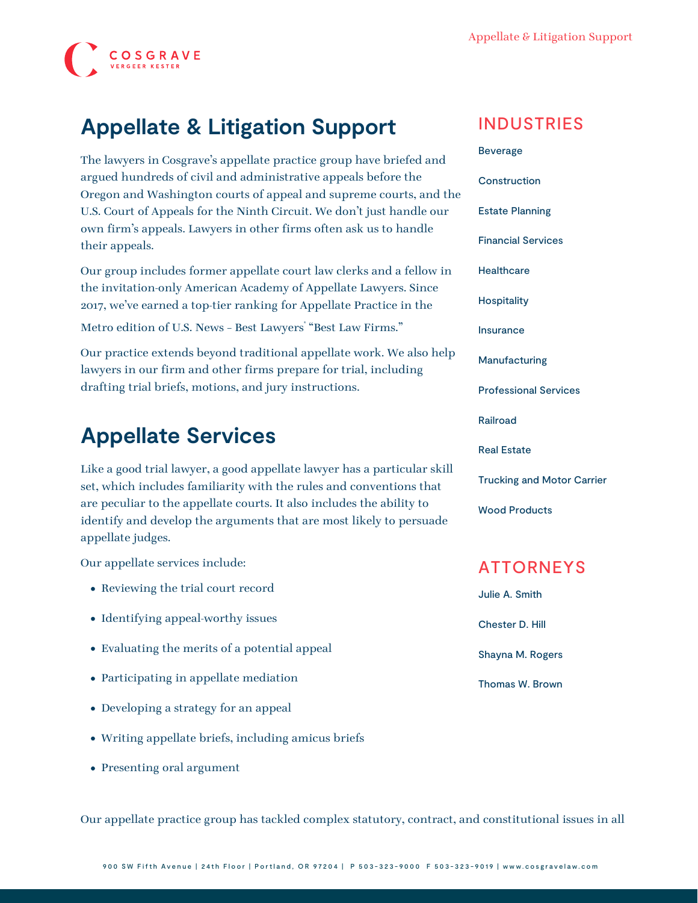

## **Appellate & Litigation Support**

The lawyers in Cosgrave's appellate practice group have briefed and argued hundreds of civil and administrative appeals before the Oregon and Washington courts of appeal and supreme courts, and the U.S. Court of Appeals for the Ninth Circuit. We don't just handle our own firm's appeals. Lawyers in other firms often ask us to handle their appeals.

Our group includes former appellate court law clerks and a fellow in the invitation-only American Academy of Appellate Lawyers. Since 2017, we've earned a top-tier ranking for Appellate Practice in the

Metro edition of U.S. News - Best Lawyers "Best Law Firms."

Our practice extends beyond traditional appellate work. We also help lawyers in our firm and other firms prepare for trial, including drafting trial briefs, motions, and jury instructions.

## **Appellate Services**

Like a good trial lawyer, a good appellate lawyer has a particular skill set, which includes familiarity with the rules and conventions that are peculiar to the appellate courts. It also includes the ability to identify and develop the arguments that are most likely to persuade appellate judges.

Our appellate services include:

- Reviewing the trial court record
- Identifying appeal-worthy issues
- Evaluating the merits of a potential appeal
- Participating in appellate mediation
- Developing a strategy for an appeal
- Writing appellate briefs, including amicus briefs
- Presenting oral argument

INDUSTRIES

[Beverage](https://www.cosgravelaw.com/beverage/) **[Construction](https://www.cosgravelaw.com/construction/)** [Estate Planning](https://www.cosgravelaw.com/estate-planning/) [Financial Services](https://www.cosgravelaw.com/banking-financial-services-defense-attorneys/) **[Healthcare](https://www.cosgravelaw.com/healthcare/) [Hospitality](https://www.cosgravelaw.com/hospitality/)** [Insurance](https://www.cosgravelaw.com/insurance/) [Manufacturing](https://www.cosgravelaw.com/manufacturing/) [Professional Services](https://www.cosgravelaw.com/professional-services/) [Railroad](https://www.cosgravelaw.com/railroad/) [Real Estate](https://www.cosgravelaw.com/real-estate/) [Trucking and Motor Carrier](https://www.cosgravelaw.com/trucking-defense-attorneys/) [Wood Products](https://www.cosgravelaw.com/timber-law/)

### ATTORNEYS

[Julie A. Smith](https://www.cosgravelaw.com/julie-smith-appellate-litigation-services/) [Chester D. Hill](https://www.cosgravelaw.com/chester-hill-commercial-landlord-tenant-attorney/) [Shayna M. Rogers](https://www.cosgravelaw.com/shayna-rogers/) [Thomas W. Brown](https://www.cosgravelaw.com/thomas-w-brown/)

Our appellate practice group has tackled complex statutory, contract, and constitutional issues in all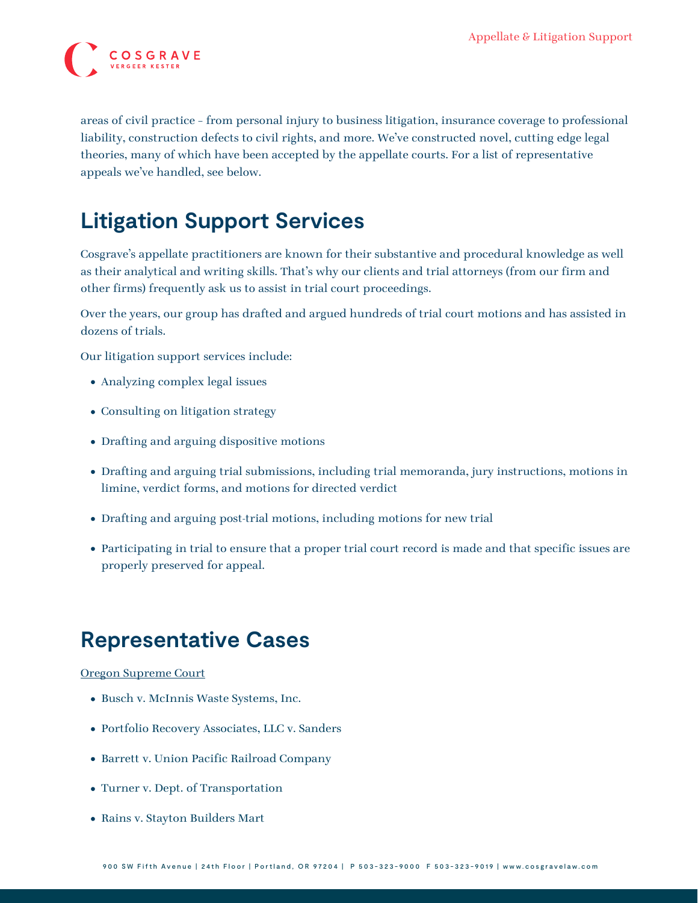

areas of civil practice – from personal injury to business litigation, insurance coverage to professional liability, construction defects to civil rights, and more. We've constructed novel, cutting edge legal theories, many of which have been accepted by the appellate courts. For a list of representative appeals we've handled, see below.

# **Litigation Support Services**

Cosgrave's appellate practitioners are known for their substantive and procedural knowledge as well as their analytical and writing skills. That's why our clients and trial attorneys (from our firm and other firms) frequently ask us to assist in trial court proceedings.

Over the years, our group has drafted and argued hundreds of trial court motions and has assisted in dozens of trials.

Our litigation support services include:

- Analyzing complex legal issues
- Consulting on litigation strategy
- Drafting and arguing dispositive motions
- Drafting and arguing trial submissions, including trial memoranda, jury instructions, motions in limine, verdict forms, and motions for directed verdict
- Drafting and arguing post-trial motions, including motions for new trial
- Participating in trial to ensure that a proper trial court record is made and that specific issues are properly preserved for appeal.

### **Representative Cases**

#### Oregon Supreme Court

- [Busch v. McInnis Waste Systems, Inc.](https://www.cosgravelaw.com/wp-content/uploads/2015/06/Busch-v.-McInniS-Waste-Systems-Inc.pdf)
- [Portfolio Recovery Associates, LLC v. Sanders](https://www.cosgravelaw.com/wp-content/uploads/2015/06/Portfolio-Recovery-Associates-LLC-v.-Sanders.pdf)
- [Barrett v. Union Pacific Railroad Company](http://cosgravelawold.wpengine.com/wp-content/uploads/2015/06/Barrett-v.-Union-Pacific-Railroad-Company.pdf)
- [Turner v. Dept. of Transportation](http://cosgravelawold.wpengine.com/wp-content/uploads/2015/06/Turner-v.-Dept.-of-Transportation.pdf)
- [Rains v. Stayton Builders Mart](https://www.cosgravelaw.com/wp-content/uploads/2015/03/Rains-v.-Stayton-Builders-Mart.pdf)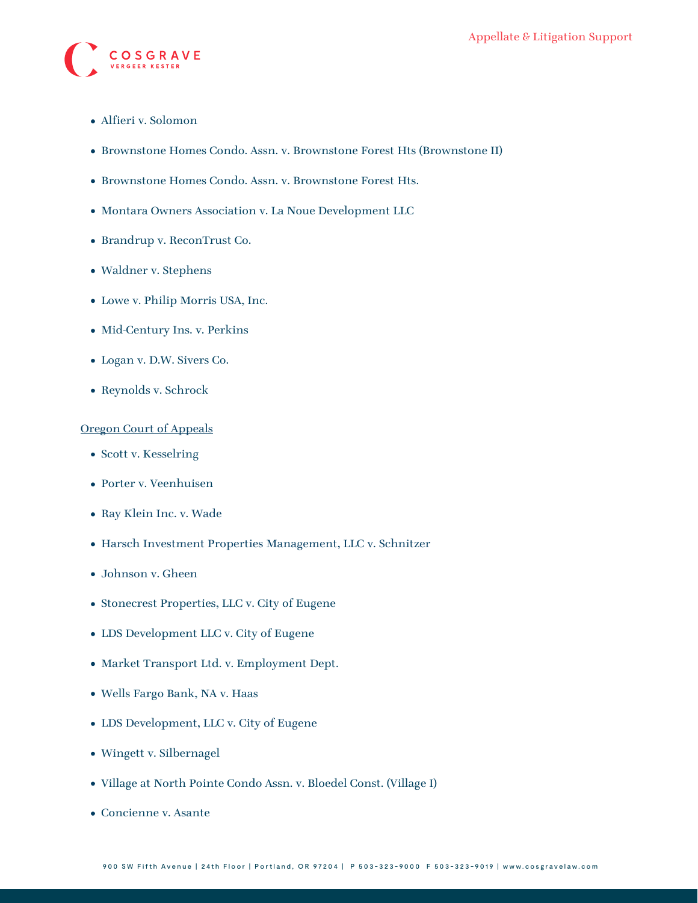

- [Alfieri v. Solomon](https://www.cosgravelaw.com/wp-content/uploads/2015/03/Alfieri-v.-Solomon.pdf)
- [Brownstone Homes Condo. Assn. v. Brownstone Forest Hts \(Brownstone II\)](https://www.cosgravelaw.com/wp-content/uploads/2015/06/Brownstone-Homes-Condo.-Assn.-v.-Brownstone-Forest-Hts-2.pdf)
- [Brownstone Homes Condo. Assn. v. Brownstone Forest Hts.](https://www.cosgravelaw.com/wp-content/uploads/2015/06/Brownstone-Homes-Condo.-Assn.-v.-Brownstone-Forest-Hts..pdf)
- [Montara Owners Association v. La Noue Development LLC](https://www.cosgravelaw.com/wp-content/uploads/2015/03/Montara-Owners-Association-v.-La-Noue-Development-LLC.pdf)
- [Brandrup v. ReconTrust Co.](https://www.cosgravelaw.com/media/fpo/S060281-Brandrup.pdf)
- [Waldner v. Stephens](https://www.cosgravelaw.com/wp-content/uploads/2015/03/Waldner-v.-Stephens.pdf)
- [Lowe v. Philip Morris USA, Inc.](https://www.cosgravelaw.com/wp-content/uploads/2015/03/Lowe-v.-Philip-Morris-USA-Inc..pdf)
- [Mid-Century Ins. v. Perkins](https://www.cosgravelaw.com/wp-content/uploads/2015/03/Mid-Century-Ins.-v.-Perkins.pdf)
- [Logan v. D.W. Sivers Co.](https://www.cosgravelaw.com/wp-content/uploads/2015/03/Logan-v.-D.W.-Sivers-Co..pdf)
- [Reynolds v. Schrock](https://www.cosgravelaw.com/wp-content/uploads/2015/03/Reynolds-v.-Schrock.pdf)

#### Oregon Court of Appeals

- [Scott v. Kesselring](https://www.cosgravelaw.com/wp-content/uploads/2015/06/Scott-v.-Kesselring.pdf)
- [Porter v. Veenhuisen](https://www.cosgravelaw.com/wp-content/uploads/2015/06/p17027coll5_26279.pdf)
- Ray Klein Inc. v. Wade
- Harsch Investment Properties Management, LLC v. Schnitzer
- Johnson v. Gheen
- [Stonecrest Properties, LLC v. City of Eugene](https://www.cosgravelaw.com/wp-content/uploads/2015/06/Stonecrest-Properties-LLC-v.-City-of-Eugene.pdf)
- [LDS Development LLC v. City of Eugene](https://www.cosgravelaw.com/wp-content/uploads/2015/06/LDS-Development-LLC-v.-City-of-Eugene.pdf)
- [Market Transport Ltd. v. Employment Dept.](https://www.cosgravelaw.com/wp-content/uploads/2015/06/Market-Transport-Ltd.-v.-Employment-Dept..pdf)
- [Wells Fargo Bank, NA v. Haas](https://www.cosgravelaw.com/wp-content/uploads/2015/06/Wells-Fargo-Bank-NA-v.-Haas.pdf)
- LDS Development, LLC v. City of Eugene
- [Wingett v. Silbernagel](https://www.cosgravelaw.com/wp-content/uploads/2015/06/Wingett-v.-Silbernagel.pdf)
- [Village at North Pointe Condo Assn. v. Bloedel Const. \(Village I\)](https://www.cosgravelaw.com/wp-content/uploads/2015/06/Village-at-North-Pointe-Condo.-Assn.-v.-Bloedel-Const.-Village-1.pdf)
- [Concienne v. Asante](https://www.cosgravelaw.com/wp-content/uploads/2015/03/Concienne-v.-Asante.pdf)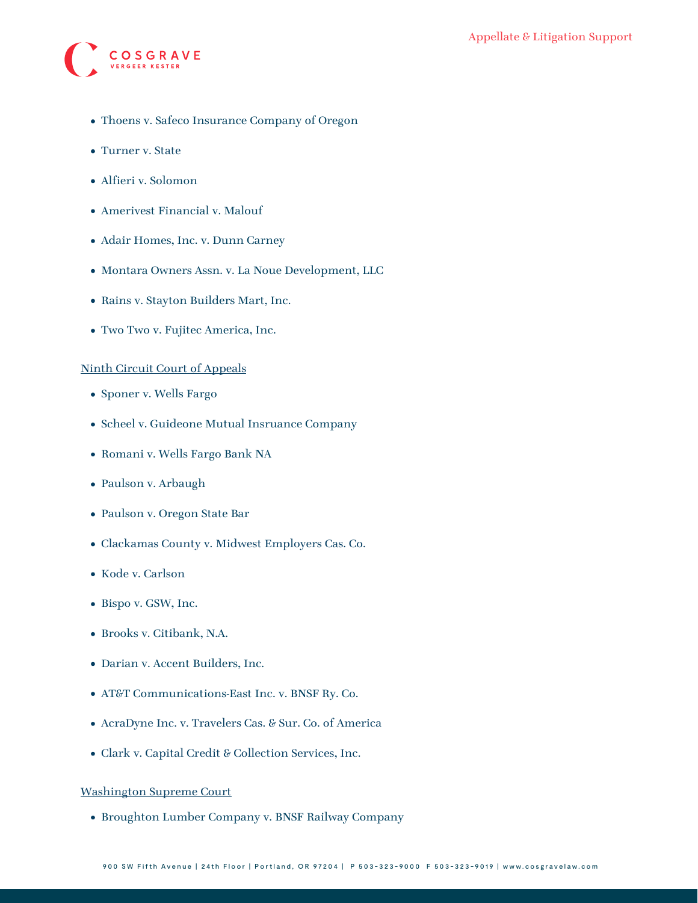

- [Thoens v. Safeco Insurance Company of Oregon](https://www.cosgravelaw.com/wp-content/uploads/2015/03/Thoens-v.-Safeco-Insurance-Company-of-Oregon.pdf)
- Turner v. State
- [Alfieri v. Solomon](https://www.cosgravelaw.com/wp-content/uploads/2015/03/Alfieri-v.-Solomon.pdf)
- [Amerivest Financial v. Malouf](https://www.cosgravelaw.com/wp-content/uploads/2015/03/Amerivest-Financial-v.-Malouf.pdf)
- [Adair Homes, Inc. v. Dunn Carney](https://www.cosgravelaw.com/media/fpo/Adair.pdf)
- [Montara Owners Assn. v. La Noue Development, LLC](https://www.cosgravelaw.com/media/fpo/A140771-La%20Noue.pdf)
- [Rains v. Stayton Builders Mart, Inc.](https://www.cosgravelaw.com/media/fpo/A152100-Raines.pdf)
- [Two Two v. Fujitec America, Inc.](https://www.cosgravelaw.com/wp-content/uploads/2015/03/Two-Two-v.-Fujitec-America-Inc..pdf)

#### Ninth Circuit Court of Appeals

- [Sponer v. Wells Fargo](https://www.cosgravelaw.com/wp-content/uploads/2015/06/19-35892.pdf)
- [Scheel v. Guideone Mutual Insruance Company](https://www.cosgravelaw.com/wp-content/uploads/2015/06/17-35725.pdf)
- [Romani v. Wells Fargo Bank NA](https://www.cosgravelaw.com/wp-content/uploads/2015/06/Romani-v.-Wells-Fargo-Bank-NA.pdf)
- [Paulson v. Arbaugh](https://www.cosgravelaw.com/wp-content/uploads/2015/03/Paulson-v.-Arbaugh.pdf)
- [Paulson v. Oregon State Bar](https://www.cosgravelaw.com/wp-content/uploads/2015/03/Paulson-v.-Oregon-State-Bar.pdf)
- Clackamas County v. Midwest Employers Cas. Co.
- Kode v. Carlson
- [Bispo v. GSW, Inc.](http://www.ca9.uscourts.gov/datastore/memoranda/2010/01/07/08-36052.pdf)
- [Brooks v. Citibank, N.A.](http://www.ca9.uscourts.gov/datastore/memoranda/2009/09/08/08-35574.pdf)
- [Darian v. Accent Builders, Inc.](http://www.ca9.uscourts.gov/datastore/memoranda/2009/06/16/06-55692.pdf)
- [AT&T Communications-East Inc. v. BNSF Ry. Co.](http://www.ca9.uscourts.gov/datastore/memoranda/2009/01/22/07-35324.pdf)
- AcraDyne Inc. v. Travelers Cas. & Sur. Co. of America
- Clark v. Capital Credit & Collection Services, Inc.

#### Washington Supreme Court

[Broughton Lumber Company v. BNSF Railway Company](https://www.cosgravelaw.com/wp-content/uploads/2015/03/Broughton-Lumber-Company-v.-BNSF-Railway-Company.pdf)